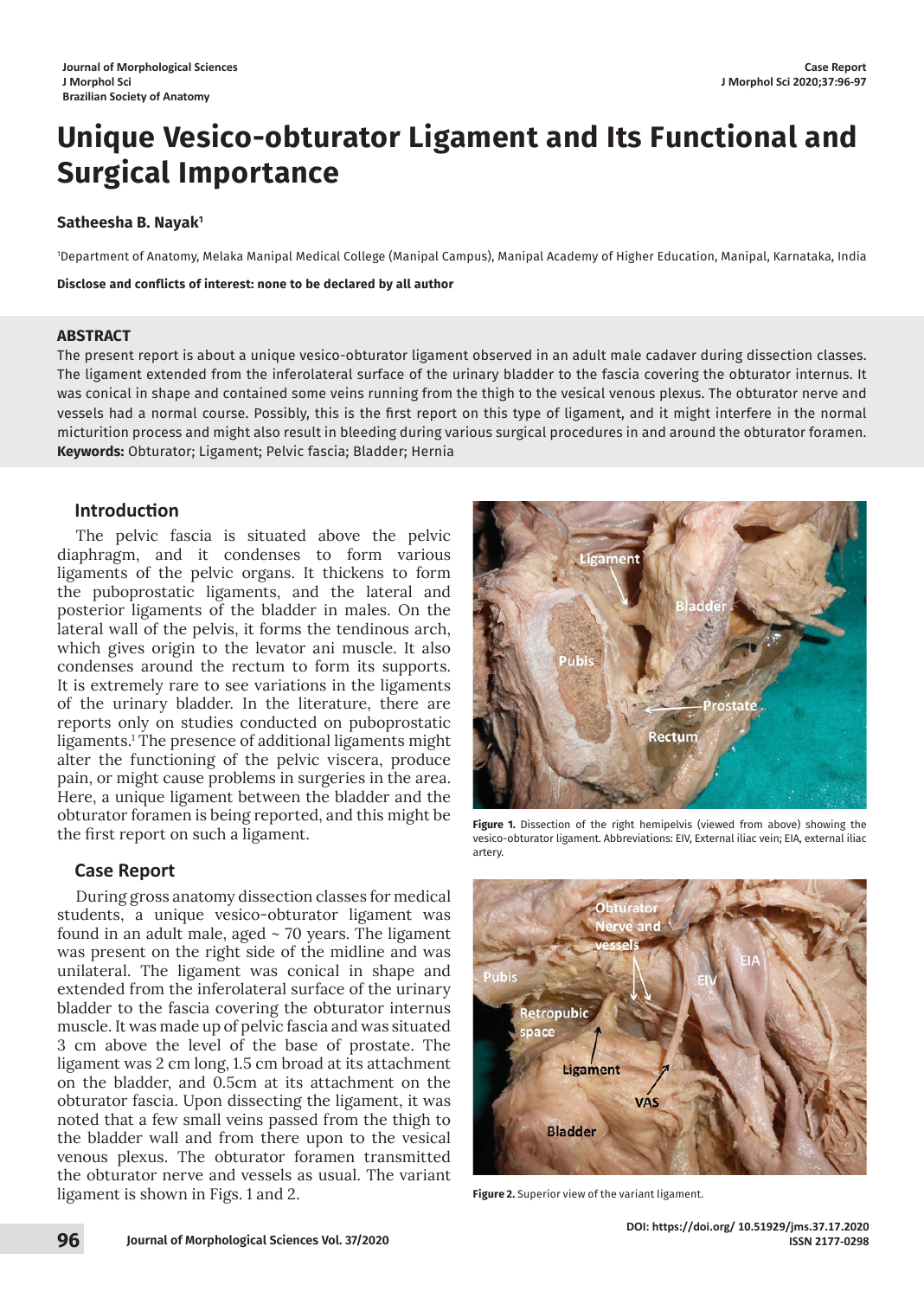# **Unique Vesico-obturator Ligament and Its Functional and Surgical Importance**

### **Satheesha B. Nayak1**

1 Department of Anatomy, Melaka Manipal Medical College (Manipal Campus), Manipal Academy of Higher Education, Manipal, Karnataka, India

**Disclose and conflicts of interest: none to be declared by all author**

#### **ABSTRACT**

The present report is about a unique vesico-obturator ligament observed in an adult male cadaver during dissection classes. The ligament extended from the inferolateral surface of the urinary bladder to the fascia covering the obturator internus. It was conical in shape and contained some veins running from the thigh to the vesical venous plexus. The obturator nerve and vessels had a normal course. Possibly, this is the first report on this type of ligament, and it might interfere in the normal micturition process and might also result in bleeding during various surgical procedures in and around the obturator foramen. **Keywords:** Obturator; Ligament; Pelvic fascia; Bladder; Hernia

# **Introduction**

The pelvic fascia is situated above the pelvic diaphragm, and it condenses to form various ligaments of the pelvic organs. It thickens to form the puboprostatic ligaments, and the lateral and posterior ligaments of the bladder in males. On the lateral wall of the pelvis, it forms the tendinous arch, which gives origin to the levator ani muscle. It also condenses around the rectum to form its supports. It is extremely rare to see variations in the ligaments of the urinary bladder. In the literature, there are reports only on studies conducted on puboprostatic ligaments.1 The presence of additional ligaments might alter the functioning of the pelvic viscera, produce pain, or might cause problems in surgeries in the area. Here, a unique ligament between the bladder and the obturator foramen is being reported, and this might be the first report on such a ligament.

# **Case Report**

During gross anatomy dissection classes for medical students, a unique vesico-obturator ligament was found in an adult male, aged  $\sim$  70 years. The ligament was present on the right side of the midline and was unilateral. The ligament was conical in shape and extended from the inferolateral surface of the urinary bladder to the fascia covering the obturator internus muscle. It was made up of pelvic fascia and was situated 3 cm above the level of the base of prostate. The ligament was 2 cm long, 1.5 cm broad at its attachment on the bladder, and 0.5cm at its attachment on the obturator fascia. Upon dissecting the ligament, it was noted that a few small veins passed from the thigh to the bladder wall and from there upon to the vesical venous plexus. The obturator foramen transmitted the obturator nerve and vessels as usual. The variant ligament is shown in Figs. 1 and 2.



**Figure 1.** Dissection of the right hemipelvis (viewed from above) showing the vesico-obturator ligament. Abbreviations: EIV, External iliac vein; EIA, external iliac artery.



**Figure 2.** Superior view of the variant ligament.